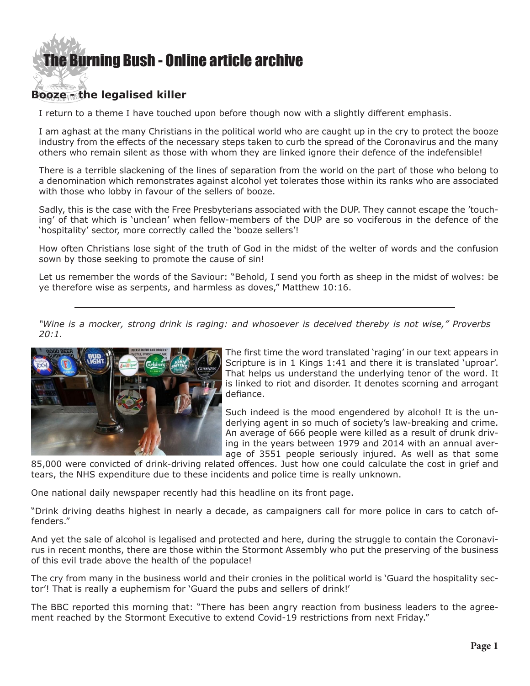## **[The Burning Bush - Online article archive](http://www.ivanfoster.net)**

## **Booze - the legalised killer**

I return to a theme I have touched upon before though now with a slightly different emphasis.

I am aghast at the many Christians in the political world who are caught up in the cry to protect the booze industry from the effects of the necessary steps taken to curb the spread of the Coronavirus and the many others who remain silent as those with whom they are linked ignore their defence of the indefensible!

There is a terrible slackening of the lines of separation from the world on the part of those who belong to a denomination which remonstrates against alcohol yet tolerates those within its ranks who are associated with those who lobby in favour of the sellers of booze.

Sadly, this is the case with the Free Presbyterians associated with the DUP. They cannot escape the 'touching' of that which is 'unclean' when fellow-members of the DUP are so vociferous in the defence of the 'hospitality' sector, more correctly called the 'booze sellers'!

How often Christians lose sight of the truth of God in the midst of the welter of words and the confusion sown by those seeking to promote the cause of sin!

Let us remember the words of the Saviour: "Behold, I send you forth as sheep in the midst of wolves: be ye therefore wise as serpents, and harmless as doves," Matthew 10:16.

*"Wine is a mocker, strong drink is raging: and whosoever is deceived thereby is not wise," Proverbs 20:1.*



The first time the word translated 'raging' in our text appears in Scripture is in 1 Kings 1:41 and there it is translated 'uproar'. That helps us understand the underlying tenor of the word. It is linked to riot and disorder. It denotes scorning and arrogant defiance.

Such indeed is the mood engendered by alcohol! It is the underlying agent in so much of society's law-breaking and crime. An average of 666 people were killed as a result of drunk driving in the years between 1979 and 2014 with an annual average of 3551 people seriously injured. As well as that some

85,000 were convicted of drink-driving related offences. Just how one could calculate the cost in grief and tears, the NHS expenditure due to these incidents and police time is really unknown.

One national daily newspaper recently had this headline on its front page.

"Drink driving deaths highest in nearly a decade, as campaigners call for more police in cars to catch offenders."

And yet the sale of alcohol is legalised and protected and here, during the struggle to contain the Coronavirus in recent months, there are those within the Stormont Assembly who put the preserving of the business of this evil trade above the health of the populace!

The cry from many in the business world and their cronies in the political world is 'Guard the hospitality sector'! That is really a euphemism for 'Guard the pubs and sellers of drink!'

The BBC reported this morning that: "There has been angry reaction from business leaders to the agreement reached by the Stormont Executive to extend Covid-19 restrictions from next Friday."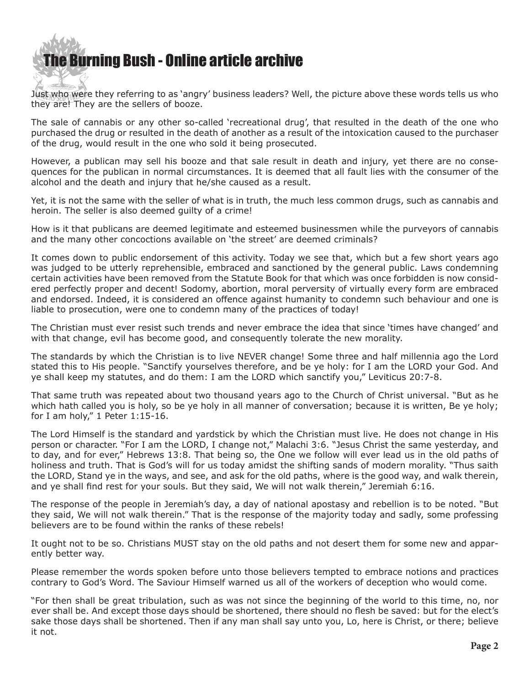## **[The Burning Bush - Online article archive](http://www.ivanfoster.net)**

Just who were they referring to as 'angry' business leaders? Well, the picture above these words tells us who they are! They are the sellers of booze.

The sale of cannabis or any other so-called 'recreational drug', that resulted in the death of the one who purchased the drug or resulted in the death of another as a result of the intoxication caused to the purchaser of the drug, would result in the one who sold it being prosecuted.

However, a publican may sell his booze and that sale result in death and injury, yet there are no consequences for the publican in normal circumstances. It is deemed that all fault lies with the consumer of the alcohol and the death and injury that he/she caused as a result.

Yet, it is not the same with the seller of what is in truth, the much less common drugs, such as cannabis and heroin. The seller is also deemed guilty of a crime!

How is it that publicans are deemed legitimate and esteemed businessmen while the purveyors of cannabis and the many other concoctions available on 'the street' are deemed criminals?

It comes down to public endorsement of this activity. Today we see that, which but a few short years ago was judged to be utterly reprehensible, embraced and sanctioned by the general public. Laws condemning certain activities have been removed from the Statute Book for that which was once forbidden is now considered perfectly proper and decent! Sodomy, abortion, moral perversity of virtually every form are embraced and endorsed. Indeed, it is considered an offence against humanity to condemn such behaviour and one is liable to prosecution, were one to condemn many of the practices of today!

The Christian must ever resist such trends and never embrace the idea that since 'times have changed' and with that change, evil has become good, and consequently tolerate the new morality.

The standards by which the Christian is to live NEVER change! Some three and half millennia ago the Lord stated this to His people. "Sanctify yourselves therefore, and be ye holy: for I am the LORD your God. And ye shall keep my statutes, and do them: I am the LORD which sanctify you," Leviticus 20:7-8.

That same truth was repeated about two thousand years ago to the Church of Christ universal. "But as he which hath called you is holy, so be ye holy in all manner of conversation; because it is written, Be ye holy; for I am holy," 1 Peter 1:15-16.

The Lord Himself is the standard and yardstick by which the Christian must live. He does not change in His person or character. "For I am the LORD, I change not," Malachi 3:6. "Jesus Christ the same yesterday, and to day, and for ever," Hebrews 13:8. That being so, the One we follow will ever lead us in the old paths of holiness and truth. That is God's will for us today amidst the shifting sands of modern morality. "Thus saith the LORD, Stand ye in the ways, and see, and ask for the old paths, where is the good way, and walk therein, and ye shall find rest for your souls. But they said, We will not walk therein," Jeremiah 6:16.

The response of the people in Jeremiah's day, a day of national apostasy and rebellion is to be noted. "But they said, We will not walk therein." That is the response of the majority today and sadly, some professing believers are to be found within the ranks of these rebels!

It ought not to be so. Christians MUST stay on the old paths and not desert them for some new and apparently better way.

Please remember the words spoken before unto those believers tempted to embrace notions and practices contrary to God's Word. The Saviour Himself warned us all of the workers of deception who would come.

"For then shall be great tribulation, such as was not since the beginning of the world to this time, no, nor ever shall be. And except those days should be shortened, there should no flesh be saved: but for the elect's sake those days shall be shortened. Then if any man shall say unto you, Lo, here is Christ, or there; believe it not.